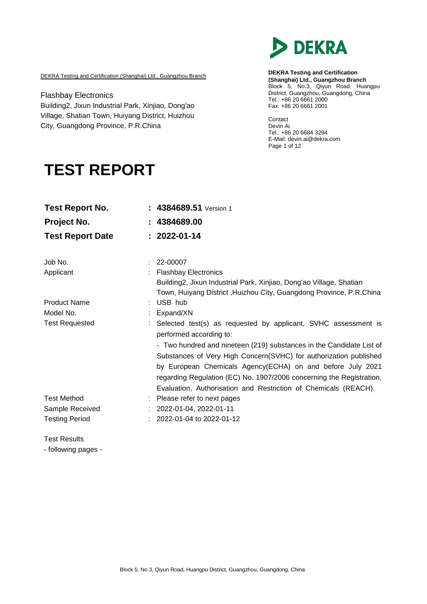

DEKRA Testing and Certification (Shanghai) Ltd., Guangzhou Branch

Flashbay Electronics Building2, Jixun Industrial Park, Xinjiao, Dong'ao Village, Shatian Town, Huiyang District, Huizhou City, Guangdong Province, P.R.China

**DEKRA Testing and Certification (Shanghai) Ltd., Guangzhou Branch** Block 5, No.3, Qiyun Road, Huangpu District, Guangzhou, Guangdong, China Tel.: +86 20 6661 2000 Fax: +86 20 6661 2001

Contact Devin Ai Tel.: +86 20 6684 3294 E-Mail: [devin.ai@dekra.com](mailto:devin.ai@dekra.com) Page 1 of 12

# **TEST REPORT**

| <b>Test Report No.</b>  | 4384689.51 Version 1                                                                      |
|-------------------------|-------------------------------------------------------------------------------------------|
| Project No.             | 4384689.00                                                                                |
| <b>Test Report Date</b> | $: 2022 - 01 - 14$                                                                        |
| Job No.                 | 22-00007                                                                                  |
| Applicant               | <b>Flashbay Electronics</b>                                                               |
|                         | Building2, Jixun Industrial Park, Xinjiao, Dong'ao Village, Shatian                       |
|                         | Town, Huiyang District , Huizhou City, Guangdong Province, P.R.China                      |
| <b>Product Name</b>     | USB hub                                                                                   |
| Model No.               | Expand/XN                                                                                 |
| <b>Test Requested</b>   | Selected test(s) as requested by applicant, SVHC assessment is<br>performed according to: |
|                         | - Two hundred and nineteen (219) substances in the Candidate List of                      |
|                         | Substances of Very High Concern(SVHC) for authorization published                         |
|                         | by European Chemicals Agency(ECHA) on and before July 2021                                |
|                         | regarding Regulation (EC) No. 1907/2006 concerning the Registration,                      |
|                         | Evaluation, Authorisation and Restriction of Chemicals (REACH).                           |
| <b>Test Method</b>      | Please refer to next pages                                                                |
| Sample Received         | 2022-01-04, 2022-01-11                                                                    |
| <b>Testing Period</b>   | 2022-01-04 to 2022-01-12                                                                  |

Test Results

- following pages -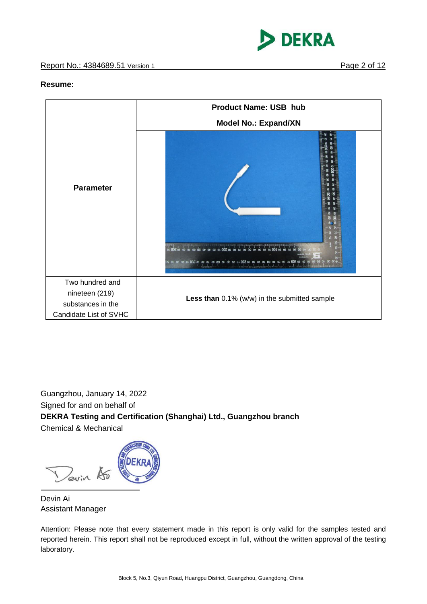

#### **Resume:**



Guangzhou, January 14, 2022 Signed for and on behalf of **DEKRA Testing and Certification (Shanghai) Ltd., Guangzhou branch** Chemical & Mechanical

Devin 15

Devin Ai Assistant Manager

Attention: Please note that every statement made in this report is only valid for the samples tested and reported herein. This report shall not be reproduced except in full, without the written approval of the testing laboratory.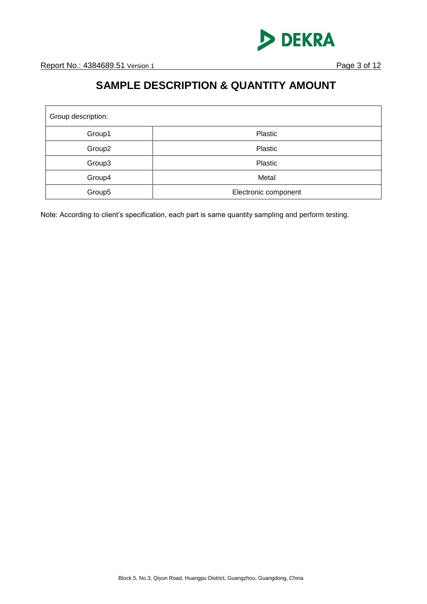

# **SAMPLE DESCRIPTION & QUANTITY AMOUNT**

| Group description: |                      |  |  |
|--------------------|----------------------|--|--|
| Group1             | Plastic              |  |  |
| Group <sub>2</sub> | Plastic              |  |  |
| Group3             | Plastic              |  |  |
| Group4             | Metal                |  |  |
| Group5             | Electronic component |  |  |

Note: According to client's specification, each part is same quantity sampling and perform testing.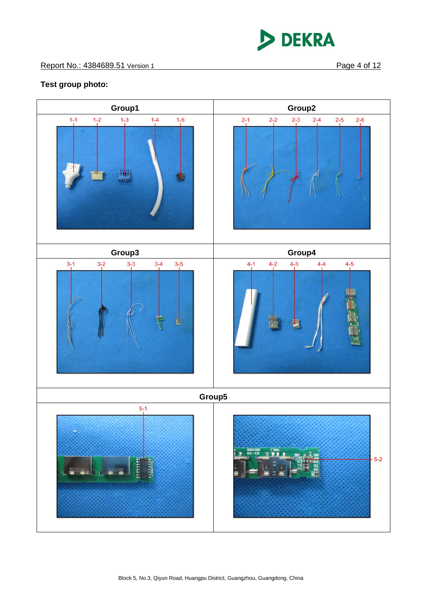

## **Test group photo:**

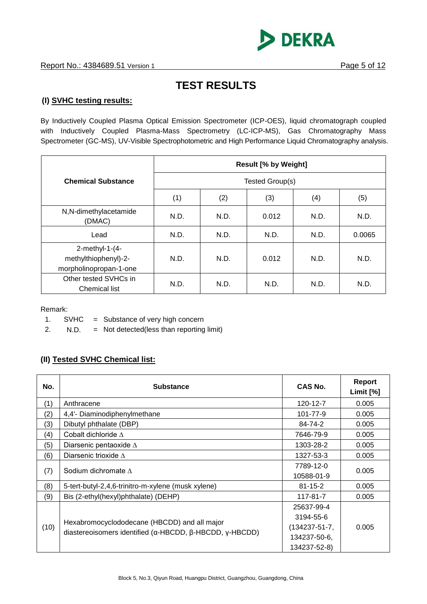

# **TEST RESULTS**

### **(I) SVHC testing results:**

By Inductively Coupled Plasma Optical Emission Spectrometer (ICP-OES), liquid chromatograph coupled with Inductively Coupled Plasma-Mass Spectrometry (LC-ICP-MS), Gas Chromatography Mass Spectrometer (GC-MS), UV-Visible Spectrophotometric and High Performance Liquid Chromatography analysis.

|                                                                     | <b>Result [% by Weight]</b> |                 |       |      |        |  |
|---------------------------------------------------------------------|-----------------------------|-----------------|-------|------|--------|--|
| <b>Chemical Substance</b>                                           |                             | Tested Group(s) |       |      |        |  |
|                                                                     | (1)                         | (2)             | (3)   | (4)  | (5)    |  |
| N,N-dimethylacetamide<br>(DMAC)                                     | N.D.                        | N.D.            | 0.012 | N.D. | N.D.   |  |
| Lead                                                                | N.D.                        | N.D.            | N.D.  | N.D. | 0.0065 |  |
| 2-methyl-1- $(4-$<br>methylthiophenyl)-2-<br>morpholinopropan-1-one | N.D.                        | N.D.            | 0.012 | N.D. | N.D.   |  |
| Other tested SVHCs in<br><b>Chemical list</b>                       | N.D.                        | N.D.            | N.D.  | N.D. | N.D.   |  |

Remark:

1.  $SVHC = Substance of very high concern$ 

2. N.D. = Not detected(less than reporting limit)

### **(II) Tested SVHC Chemical list:**

| No.  | <b>Substance</b>                                                                                        | CAS No.             | Report<br>Limit [%] |
|------|---------------------------------------------------------------------------------------------------------|---------------------|---------------------|
| (1)  | Anthracene                                                                                              | 120-12-7            | 0.005               |
| (2)  | 4,4'- Diaminodiphenylmethane                                                                            | 101-77-9            | 0.005               |
| (3)  | Dibutyl phthalate (DBP)                                                                                 | 84-74-2             | 0.005               |
| (4)  | Cobalt dichloride $\Delta$                                                                              | 7646-79-9           | 0.005               |
| (5)  | Diarsenic pentaoxide $\Delta$                                                                           | 1303-28-2           | 0.005               |
| (6)  | Diarsenic trioxide $\Lambda$                                                                            | 1327-53-3           | 0.005               |
|      | Sodium dichromate $\Lambda$                                                                             | 7789-12-0           | 0.005               |
| (7)  |                                                                                                         | 10588-01-9          |                     |
| (8)  | 5-tert-butyl-2,4,6-trinitro-m-xylene (musk xylene)                                                      | $81 - 15 - 2$       | 0.005               |
| (9)  | Bis (2-ethyl(hexyl)phthalate) (DEHP)                                                                    | 117-81-7            | 0.005               |
|      | Hexabromocyclododecane (HBCDD) and all major<br>diastereoisomers identified (α-HBCDD, β-HBCDD, γ-HBCDD) | 25637-99-4          |                     |
|      |                                                                                                         | 3194-55-6           |                     |
| (10) |                                                                                                         | $(134237 - 51 - 7,$ | 0.005               |
|      |                                                                                                         | 134237-50-6,        |                     |
|      |                                                                                                         | 134237-52-8)        |                     |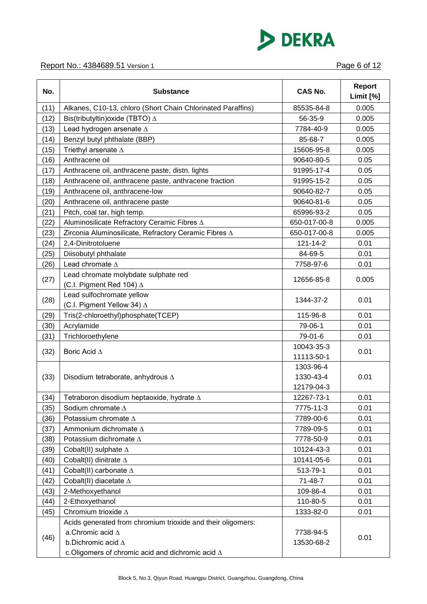

### Report No.: 4384689.51 Version 1 **Page 6 of 12**

| No.  | <b>Substance</b>                                                                       | <b>CAS No.</b> | <b>Report</b><br>Limit [%] |
|------|----------------------------------------------------------------------------------------|----------------|----------------------------|
| (11) | Alkanes, C10-13, chloro (Short Chain Chlorinated Paraffins)                            | 85535-84-8     | 0.005                      |
| (12) | Bis(tributyltin) oxide (TBTO) $\Delta$                                                 | 56-35-9        | 0.005                      |
| (13) | Lead hydrogen arsenate $\Delta$                                                        | 7784-40-9      | 0.005                      |
| (14) | Benzyl butyl phthalate (BBP)                                                           | 85-68-7        | 0.005                      |
| (15) | Triethyl arsenate $\Delta$                                                             | 15606-95-8     | 0.005                      |
| (16) | Anthracene oil                                                                         | 90640-80-5     | 0.05                       |
| (17) | Anthracene oil, anthracene paste, distn. lights                                        | 91995-17-4     | 0.05                       |
| (18) | Anthracene oil, anthracene paste, anthracene fraction                                  | 91995-15-2     | 0.05                       |
| (19) | Anthracene oil, anthracene-low                                                         | 90640-82-7     | 0.05                       |
| (20) | Anthracene oil, anthracene paste                                                       | 90640-81-6     | 0.05                       |
| (21) | Pitch, coal tar, high temp.                                                            | 65996-93-2     | 0.05                       |
| (22) | Aluminosilicate Refractory Ceramic Fibres A                                            | 650-017-00-8   | 0.005                      |
| (23) | Zirconia Aluminosilicate, Refractory Ceramic Fibres A                                  | 650-017-00-8   | 0.005                      |
| (24) | 2,4-Dinitrotoluene                                                                     | 121-14-2       | 0.01                       |
| (25) | Diisobutyl phthalate                                                                   | 84-69-5        | 0.01                       |
| (26) | Lead chromate $\Delta$                                                                 | 7758-97-6      | 0.01                       |
|      | Lead chromate molybdate sulphate red                                                   |                |                            |
| (27) | (C.I. Pigment Red 104) $\Delta$                                                        | 12656-85-8     | 0.005                      |
|      | Lead sulfochromate yellow                                                              |                |                            |
| (28) | (C.I. Pigment Yellow 34) ∆                                                             | 1344-37-2      | 0.01                       |
| (29) | Tris(2-chloroethyl)phosphate(TCEP)                                                     | 115-96-8       | 0.01                       |
| (30) | Acrylamide                                                                             | 79-06-1        | 0.01                       |
| (31) | Trichloroethylene                                                                      | 79-01-6        | 0.01                       |
|      |                                                                                        | 10043-35-3     |                            |
| (32) | Boric Acid ∆                                                                           | 11113-50-1     | 0.01                       |
|      |                                                                                        | 1303-96-4      |                            |
| (33) | Disodium tetraborate, anhydrous $\Delta$                                               | 1330-43-4      | 0.01                       |
|      |                                                                                        | 12179-04-3     |                            |
| (34) | Tetraboron disodium heptaoxide, hydrate ∆                                              | 12267-73-1     | 0.01                       |
| (35) | Sodium chromate $\Delta$                                                               | 7775-11-3      | 0.01                       |
| (36) | Potassium chromate $\Delta$                                                            | 7789-00-6      | 0.01                       |
| (37) | Ammonium dichromate A                                                                  | 7789-09-5      | 0.01                       |
| (38) | Potassium dichromate $\Delta$                                                          | 7778-50-9      | 0.01                       |
| (39) | Cobalt(II) sulphate $\Delta$                                                           | 10124-43-3     | 0.01                       |
| (40) | Cobalt(II) dinitrate $\Delta$                                                          | 10141-05-6     | 0.01                       |
| (41) | Cobalt(II) carbonate $\Delta$                                                          | 513-79-1       | 0.01                       |
| (42) | Cobalt(II) diacetate $\Delta$                                                          | $71 - 48 - 7$  | 0.01                       |
| (43) | 2-Methoxyethanol                                                                       | 109-86-4       | 0.01                       |
| (44) | 2-Ethoxyethanol                                                                        | 110-80-5       | 0.01                       |
| (45) | Chromium trioxide $\Delta$                                                             | 1333-82-0      | 0.01                       |
|      | Acids generated from chromium trioxide and their oligomers:<br>a.Chromic acid $\Delta$ | 7738-94-5      |                            |
| (46) | b.Dichromic acid $\Delta$<br>c. Oligomers of chromic acid and dichromic acid $\Delta$  | 13530-68-2     | 0.01                       |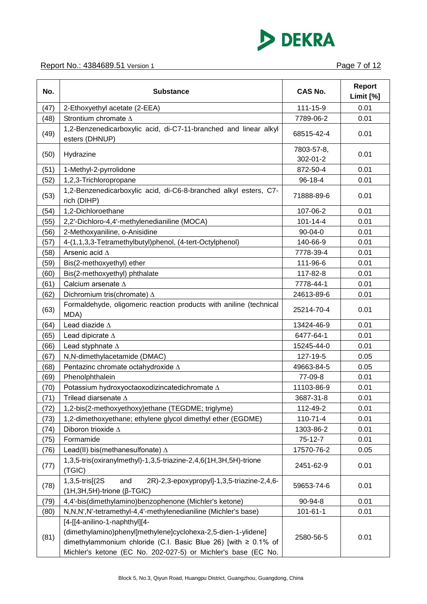

### Report No.: 4384689.51 Version 1 **Page 7 of 12**

| No.  | <b>Substance</b>                                                                                                                                                                                                                  | <b>CAS No.</b>         | <b>Report</b><br>Limit [%] |
|------|-----------------------------------------------------------------------------------------------------------------------------------------------------------------------------------------------------------------------------------|------------------------|----------------------------|
| (47) | 2-Ethoxyethyl acetate (2-EEA)                                                                                                                                                                                                     | 111-15-9               | 0.01                       |
| (48) | Strontium chromate $\Delta$                                                                                                                                                                                                       | 7789-06-2              | 0.01                       |
| (49) | 1,2-Benzenedicarboxylic acid, di-C7-11-branched and linear alkyl<br>esters (DHNUP)                                                                                                                                                | 68515-42-4             | 0.01                       |
| (50) | Hydrazine                                                                                                                                                                                                                         | 7803-57-8,<br>302-01-2 | 0.01                       |
| (51) | 1-Methyl-2-pyrrolidone                                                                                                                                                                                                            | 872-50-4               | 0.01                       |
| (52) | 1,2,3-Trichloropropane                                                                                                                                                                                                            | $96 - 18 - 4$          | 0.01                       |
| (53) | 1,2-Benzenedicarboxylic acid, di-C6-8-branched alkyl esters, C7-<br>rich (DIHP)                                                                                                                                                   | 71888-89-6             | 0.01                       |
| (54) | 1,2-Dichloroethane                                                                                                                                                                                                                | 107-06-2               | 0.01                       |
| (55) | 2,2'-Dichloro-4,4'-methylenedianiline (MOCA)                                                                                                                                                                                      | $101 - 14 - 4$         | 0.01                       |
| (56) | 2-Methoxyaniline, o-Anisidine                                                                                                                                                                                                     | $90 - 04 - 0$          | 0.01                       |
| (57) | 4-(1,1,3,3-Tetramethylbutyl)phenol, (4-tert-Octylphenol)                                                                                                                                                                          | 140-66-9               | 0.01                       |
| (58) | Arsenic acid A                                                                                                                                                                                                                    | 7778-39-4              | 0.01                       |
| (59) | Bis(2-methoxyethyl) ether                                                                                                                                                                                                         | 111-96-6               | 0.01                       |
| (60) | Bis(2-methoxyethyl) phthalate                                                                                                                                                                                                     | 117-82-8               | 0.01                       |
| (61) | Calcium arsenate $\Delta$                                                                                                                                                                                                         | 7778-44-1              | 0.01                       |
| (62) | Dichromium tris(chromate) $\Delta$                                                                                                                                                                                                | 24613-89-6             | 0.01                       |
| (63) | Formaldehyde, oligomeric reaction products with aniline (technical<br>MDA)                                                                                                                                                        | 25214-70-4             | 0.01                       |
| (64) | Lead diazide $\Delta$                                                                                                                                                                                                             | 13424-46-9             | 0.01                       |
| (65) | Lead dipicrate A                                                                                                                                                                                                                  | 6477-64-1              | 0.01                       |
| (66) | Lead styphnate A                                                                                                                                                                                                                  | 15245-44-0             | 0.01                       |
| (67) | N,N-dimethylacetamide (DMAC)                                                                                                                                                                                                      | 127-19-5               | 0.05                       |
| (68) | Pentazinc chromate octahydroxide A                                                                                                                                                                                                | 49663-84-5             | 0.05                       |
| (69) | Phenolphthalein                                                                                                                                                                                                                   | 77-09-8                | 0.01                       |
| (70) | Potassium hydroxyoctaoxodizincatedichromate $\Delta$                                                                                                                                                                              | 11103-86-9             | 0.01                       |
| (71) | Trilead diarsenate $\Delta$                                                                                                                                                                                                       | 3687-31-8              | 0.01                       |
| (72) | 1,2-bis(2-methoxyethoxy)ethane (TEGDME; triglyme)                                                                                                                                                                                 | 112-49-2               | 0.01                       |
| (73) | 1,2-dimethoxyethane; ethylene glycol dimethyl ether (EGDME)                                                                                                                                                                       | 110-71-4               | 0.01                       |
| (74) | Diboron trioxide $\Delta$                                                                                                                                                                                                         | 1303-86-2              | 0.01                       |
| (75) | Formamide                                                                                                                                                                                                                         | $75-12-7$              | 0.01                       |
| (76) | Lead(II) bis(methanesulfonate) $\Delta$                                                                                                                                                                                           | 17570-76-2             | 0.05                       |
| (77) | 1,3,5-tris(oxiranylmethyl)-1,3,5-triazine-2,4,6(1H,3H,5H)-trione<br>(TGIC)                                                                                                                                                        | 2451-62-9              | 0.01                       |
| (78) | 1,3,5-tris[(2S)<br>2R)-2,3-epoxypropyl]-1,3,5-triazine-2,4,6-<br>and<br>$(1H, 3H, 5H)$ -trione ( $\beta$ -TGIC)                                                                                                                   | 59653-74-6             | 0.01                       |
| (79) | 4,4'-bis(dimethylamino)benzophenone (Michler's ketone)                                                                                                                                                                            | 90-94-8                | 0.01                       |
| (80) | N, N, N', N'-tetramethyl-4, 4'-methylenedianiline (Michler's base)                                                                                                                                                                | $101 - 61 - 1$         | 0.01                       |
| (81) | [4-[[4-anilino-1-naphthyl][4-<br>(dimethylamino)phenyl]methylene]cyclohexa-2,5-dien-1-ylidene]<br>dimethylammonium chloride (C.I. Basic Blue 26) [with ≥ 0.1% of<br>Michler's ketone (EC No. 202-027-5) or Michler's base (EC No. | 2580-56-5              | 0.01                       |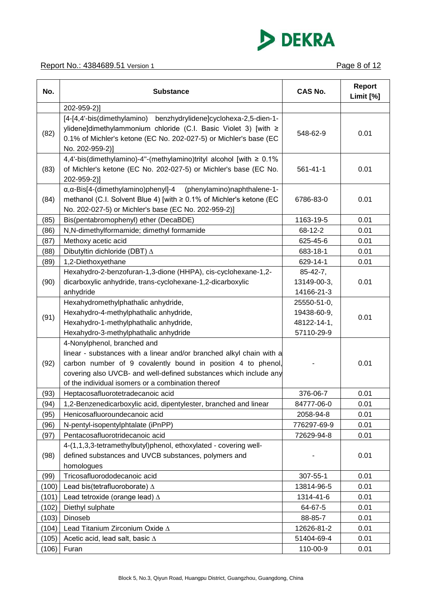

| No.   | <b>Substance</b>                                                                                                                                                                                                                                                                               | <b>CAS No.</b>  | <b>Report</b><br>Limit [%] |
|-------|------------------------------------------------------------------------------------------------------------------------------------------------------------------------------------------------------------------------------------------------------------------------------------------------|-----------------|----------------------------|
|       | 202-959-2)]                                                                                                                                                                                                                                                                                    |                 |                            |
| (82)  | [4-[4,4'-bis(dimethylamino) benzhydrylidene]cyclohexa-2,5-dien-1-<br>ylidene]dimethylammonium chloride (C.I. Basic Violet 3) [with ≥<br>0.1% of Michler's ketone (EC No. 202-027-5) or Michler's base (EC<br>No. 202-959-2)]                                                                   | 548-62-9        | 0.01                       |
| (83)  | 4,4'-bis(dimethylamino)-4"-(methylamino)trityl alcohol [with ≥ 0.1%<br>of Michler's ketone (EC No. 202-027-5) or Michler's base (EC No.<br>202-959-2)]                                                                                                                                         | $561 - 41 - 1$  | 0.01                       |
| (84)  | α, α-Bis[4-(dimethylamino) phenyl]-4 (phenylamino) naphthalene-1-<br>methanol (C.I. Solvent Blue 4) [with ≥ 0.1% of Michler's ketone (EC<br>No. 202-027-5) or Michler's base (EC No. 202-959-2)]                                                                                               | 6786-83-0       | 0.01                       |
| (85)  | Bis(pentabromophenyl) ether (DecaBDE)                                                                                                                                                                                                                                                          | 1163-19-5       | 0.01                       |
| (86)  | N,N-dimethylformamide; dimethyl formamide                                                                                                                                                                                                                                                      | 68-12-2         | 0.01                       |
| (87)  | Methoxy acetic acid                                                                                                                                                                                                                                                                            | 625-45-6        | 0.01                       |
| (88)  | Dibutyltin dichloride (DBT) $\Delta$                                                                                                                                                                                                                                                           | 683-18-1        | 0.01                       |
| (89)  | 1,2-Diethoxyethane                                                                                                                                                                                                                                                                             | 629-14-1        | 0.01                       |
|       | Hexahydro-2-benzofuran-1,3-dione (HHPA), cis-cyclohexane-1,2-                                                                                                                                                                                                                                  | $85 - 42 - 7$ , |                            |
| (90)  | dicarboxylic anhydride, trans-cyclohexane-1,2-dicarboxylic                                                                                                                                                                                                                                     | 13149-00-3,     | 0.01                       |
|       | anhydride                                                                                                                                                                                                                                                                                      | 14166-21-3      |                            |
|       | Hexahydromethylphathalic anhydride,                                                                                                                                                                                                                                                            | 25550-51-0,     | 0.01                       |
| (91)  | Hexahydro-4-methylphathalic anhydride,                                                                                                                                                                                                                                                         | 19438-60-9,     |                            |
|       | Hexahydro-1-methylphathalic anhydride,                                                                                                                                                                                                                                                         | 48122-14-1,     |                            |
|       | Hexahydro-3-methylphathalic anhydride                                                                                                                                                                                                                                                          | 57110-29-9      |                            |
| (92)  | 4-Nonylphenol, branched and<br>linear - substances with a linear and/or branched alkyl chain with a<br>carbon number of 9 covalently bound in position 4 to phenol,<br>covering also UVCB- and well-defined substances which include any<br>of the individual isomers or a combination thereof |                 | 0.01                       |
| (93)  | Heptacosafluorotetradecanoic acid                                                                                                                                                                                                                                                              | 376-06-7        | 0.01                       |
| (94)  | 1,2-Benzenedicarboxylic acid, dipentylester, branched and linear                                                                                                                                                                                                                               | 84777-06-0      | 0.01                       |
| (95)  | Henicosafluoroundecanoic acid                                                                                                                                                                                                                                                                  | 2058-94-8       | 0.01                       |
| (96)  | N-pentyl-isopentylphtalate (iPnPP)                                                                                                                                                                                                                                                             | 776297-69-9     | 0.01                       |
| (97)  | Pentacosafluorotridecanoic acid                                                                                                                                                                                                                                                                | 72629-94-8      | 0.01                       |
| (98)  | 4-(1,1,3,3-tetramethylbutyl)phenol, ethoxylated - covering well-<br>defined substances and UVCB substances, polymers and<br>homologues                                                                                                                                                         |                 | 0.01                       |
| (99)  | Tricosafluorododecanoic acid                                                                                                                                                                                                                                                                   | 307-55-1        | 0.01                       |
| (100) | Lead bis(tetrafluoroborate) $\Delta$                                                                                                                                                                                                                                                           | 13814-96-5      | 0.01                       |
| (101) | Lead tetroxide (orange lead) $\Delta$                                                                                                                                                                                                                                                          | 1314-41-6       | 0.01                       |
| (102) | Diethyl sulphate                                                                                                                                                                                                                                                                               | 64-67-5         | 0.01                       |
| (103) | Dinoseb                                                                                                                                                                                                                                                                                        | 88-85-7         | 0.01                       |
| (104) | Lead Titanium Zirconium Oxide A                                                                                                                                                                                                                                                                | 12626-81-2      | 0.01                       |
| (105) | Acetic acid, lead salt, basic $\Delta$                                                                                                                                                                                                                                                         | 51404-69-4      | 0.01                       |
| (106) | Furan                                                                                                                                                                                                                                                                                          | 110-00-9        | 0.01                       |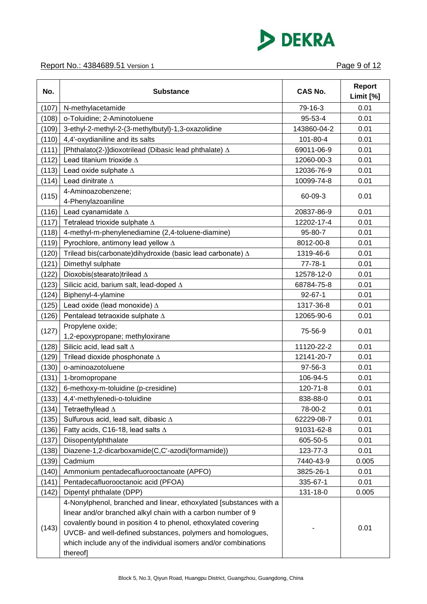

| No.   | <b>Substance</b>                                                                                                                                                                                                                                                                                                                       | <b>CAS No.</b> | Report<br>Limit [%] |
|-------|----------------------------------------------------------------------------------------------------------------------------------------------------------------------------------------------------------------------------------------------------------------------------------------------------------------------------------------|----------------|---------------------|
| (107) | N-methylacetamide                                                                                                                                                                                                                                                                                                                      | 79-16-3        | 0.01                |
| (108) | o-Toluidine; 2-Aminotoluene                                                                                                                                                                                                                                                                                                            | 95-53-4        | 0.01                |
| (109) | 3-ethyl-2-methyl-2-(3-methylbutyl)-1,3-oxazolidine                                                                                                                                                                                                                                                                                     | 143860-04-2    | 0.01                |
| (110) | 4,4'-oxydianiline and its salts                                                                                                                                                                                                                                                                                                        | 101-80-4       | 0.01                |
| (111) | [Phthalato(2-)]dioxotrilead (Dibasic lead phthalate) $\Delta$                                                                                                                                                                                                                                                                          | 69011-06-9     | 0.01                |
| (112) | Lead titanium trioxide $\Delta$                                                                                                                                                                                                                                                                                                        | 12060-00-3     | 0.01                |
| (113) | Lead oxide sulphate $\Delta$                                                                                                                                                                                                                                                                                                           | 12036-76-9     | 0.01                |
| (114) | Lead dinitrate $\Delta$                                                                                                                                                                                                                                                                                                                | 10099-74-8     | 0.01                |
|       | 4-Aminoazobenzene;                                                                                                                                                                                                                                                                                                                     |                |                     |
| (115) | 4-Phenylazoaniline                                                                                                                                                                                                                                                                                                                     | 60-09-3        | 0.01                |
| (116) | Lead cyanamidate $\Delta$                                                                                                                                                                                                                                                                                                              | 20837-86-9     | 0.01                |
| (117) | Tetralead trioxide sulphate ∆                                                                                                                                                                                                                                                                                                          | 12202-17-4     | 0.01                |
| (118) | 4-methyl-m-phenylenediamine (2,4-toluene-diamine)                                                                                                                                                                                                                                                                                      | 95-80-7        | 0.01                |
| (119) | Pyrochlore, antimony lead yellow $\Delta$                                                                                                                                                                                                                                                                                              | 8012-00-8      | 0.01                |
| (120) | Trilead bis(carbonate)dihydroxide (basic lead carbonate) A                                                                                                                                                                                                                                                                             | 1319-46-6      | 0.01                |
| (121) | Dimethyl sulphate                                                                                                                                                                                                                                                                                                                      | $77 - 78 - 1$  | 0.01                |
| (122) | Dioxobis(stearato)trilead ∆                                                                                                                                                                                                                                                                                                            | 12578-12-0     | 0.01                |
| (123) | Silicic acid, barium salt, lead-doped $\Delta$                                                                                                                                                                                                                                                                                         | 68784-75-8     | 0.01                |
| (124) | Biphenyl-4-ylamine                                                                                                                                                                                                                                                                                                                     | $92 - 67 - 1$  | 0.01                |
| (125) | Lead oxide (lead monoxide) $\Delta$                                                                                                                                                                                                                                                                                                    | 1317-36-8      | 0.01                |
| (126) | Pentalead tetraoxide sulphate ∆                                                                                                                                                                                                                                                                                                        | 12065-90-6     | 0.01                |
| (127) | Propylene oxide;                                                                                                                                                                                                                                                                                                                       | 75-56-9        | 0.01                |
|       | 1,2-epoxypropane; methyloxirane                                                                                                                                                                                                                                                                                                        |                |                     |
| (128) | Silicic acid, lead salt $\Delta$                                                                                                                                                                                                                                                                                                       | 11120-22-2     | 0.01                |
| (129) | Trilead dioxide phosphonate ∆                                                                                                                                                                                                                                                                                                          | 12141-20-7     | 0.01                |
| (130) | o-aminoazotoluene                                                                                                                                                                                                                                                                                                                      | 97-56-3        | 0.01                |
| (131) | 1-bromopropane                                                                                                                                                                                                                                                                                                                         | 106-94-5       | 0.01                |
| (132) | 6-methoxy-m-toluidine (p-cresidine)                                                                                                                                                                                                                                                                                                    | 120-71-8       | 0.01                |
| (133) | 4,4'-methylenedi-o-toluidine                                                                                                                                                                                                                                                                                                           | 838-88-0       | 0.01                |
| (134) | Tetraethyllead ∆                                                                                                                                                                                                                                                                                                                       | 78-00-2        | 0.01                |
| (135) | Sulfurous acid, lead salt, dibasic $\Delta$                                                                                                                                                                                                                                                                                            | 62229-08-7     | 0.01                |
| (136) | Fatty acids, C16-18, lead salts $\Delta$                                                                                                                                                                                                                                                                                               | 91031-62-8     | 0.01                |
| (137) | Diisopentylphthalate                                                                                                                                                                                                                                                                                                                   | 605-50-5       | 0.01                |
| (138) | Diazene-1,2-dicarboxamide(C,C'-azodi(formamide))                                                                                                                                                                                                                                                                                       | 123-77-3       | 0.01                |
| (139) | Cadmium                                                                                                                                                                                                                                                                                                                                | 7440-43-9      | 0.005               |
| (140) | Ammonium pentadecafluorooctanoate (APFO)                                                                                                                                                                                                                                                                                               | 3825-26-1      | 0.01                |
| (141) | Pentadecafluorooctanoic acid (PFOA)                                                                                                                                                                                                                                                                                                    | 335-67-1       | 0.01                |
| (142) | Dipentyl phthalate (DPP)                                                                                                                                                                                                                                                                                                               | 131-18-0       | 0.005               |
| (143) | 4-Nonylphenol, branched and linear, ethoxylated [substances with a<br>linear and/or branched alkyl chain with a carbon number of 9<br>covalently bound in position 4 to phenol, ethoxylated covering<br>UVCB- and well-defined substances, polymers and homologues,<br>which include any of the individual isomers and/or combinations |                | 0.01                |
|       | thereof]                                                                                                                                                                                                                                                                                                                               |                |                     |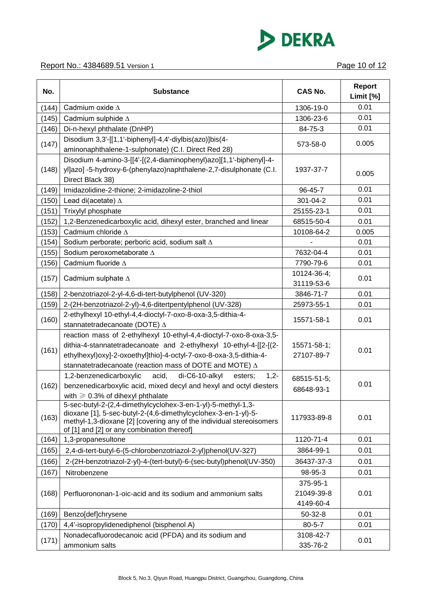

| No.   | <b>Substance</b>                                                                                                                                                                                                                                                                  | <b>CAS No.</b>                      | <b>Report</b><br>Limit [%] |
|-------|-----------------------------------------------------------------------------------------------------------------------------------------------------------------------------------------------------------------------------------------------------------------------------------|-------------------------------------|----------------------------|
| (144) | Cadmium oxide $\Delta$                                                                                                                                                                                                                                                            | 1306-19-0                           | 0.01                       |
| (145) | Cadmium sulphide $\Delta$                                                                                                                                                                                                                                                         | 1306-23-6                           | 0.01                       |
| (146) | Di-n-hexyl phthalate (DnHP)                                                                                                                                                                                                                                                       | 84-75-3                             | 0.01                       |
| (147) | Disodium 3,3'-[[1,1'-biphenyl]-4,4'-diylbis(azo)]bis(4-<br>aminonaphthalene-1-sulphonate) (C.I. Direct Red 28)                                                                                                                                                                    | 573-58-0                            | 0.005                      |
| (148) | Disodium 4-amino-3-[[4'-[(2,4-diaminophenyl)azo][1,1'-biphenyl]-4-<br>yl]azo] -5-hydroxy-6-(phenylazo)naphthalene-2,7-disulphonate (C.I.<br>Direct Black 38)                                                                                                                      | 1937-37-7                           | 0.005                      |
| (149) | Imidazolidine-2-thione; 2-imidazoline-2-thiol                                                                                                                                                                                                                                     | 96-45-7                             | 0.01                       |
| (150) | Lead di(acetate) $\Delta$                                                                                                                                                                                                                                                         | 301-04-2                            | 0.01                       |
| (151) | Trixylyl phosphate                                                                                                                                                                                                                                                                | 25155-23-1                          | 0.01                       |
| (152) | 1,2-Benzenedicarboxylic acid, dihexyl ester, branched and linear                                                                                                                                                                                                                  | 68515-50-4                          | 0.01                       |
| (153) | Cadmium chloride $\Delta$                                                                                                                                                                                                                                                         | 10108-64-2                          | 0.005                      |
| (154) | Sodium perborate; perboric acid, sodium salt A                                                                                                                                                                                                                                    |                                     | 0.01                       |
| (155) | Sodium peroxometaborate A                                                                                                                                                                                                                                                         | 7632-04-4                           | 0.01                       |
| (156) | Cadmium fluoride $\Delta$                                                                                                                                                                                                                                                         | 7790-79-6                           | 0.01                       |
| (157) | Cadmium sulphate $\Delta$                                                                                                                                                                                                                                                         | 10124-36-4;<br>31119-53-6           | 0.01                       |
| (158) | 2-benzotriazol-2-yl-4,6-di-tert-butylphenol (UV-320)                                                                                                                                                                                                                              | 3846-71-7                           | 0.01                       |
| (159) | 2-(2H-benzotriazol-2-yl)-4,6-ditertpentylphenol (UV-328)                                                                                                                                                                                                                          | 25973-55-1                          | 0.01                       |
| (160) | 2-ethylhexyl 10-ethyl-4,4-dioctyl-7-oxo-8-oxa-3,5-dithia-4-<br>stannatetradecanoate (DOTE) ∆                                                                                                                                                                                      | 15571-58-1                          | 0.01                       |
| (161) | reaction mass of 2-ethylhexyl 10-ethyl-4,4-dioctyl-7-oxo-8-oxa-3,5-<br>dithia-4-stannatetradecanoate and 2-ethylhexyl 10-ethyl-4-[[2-[(2-<br>ethylhexyl)oxy]-2-oxoethyl]thio]-4-octyl-7-oxo-8-oxa-3,5-dithia-4-<br>stannatetradecanoate (reaction mass of DOTE and MOTE) $\Delta$ | 15571-58-1;<br>27107-89-7           | 0.01                       |
| (162) | 1,2-benzenedicarboxylic<br>acid,<br>di-C6-10-alkyl<br>$1,2-$<br>esters;<br>benzenedicarboxylic acid, mixed decyl and hexyl and octyl diesters<br>with $\geqslant$ 0.3% of dihexyl phthalate                                                                                       | 68515-51-5;<br>68648-93-1           | 0.01                       |
| (163) | 5-sec-butyl-2-(2,4-dimethylcyclohex-3-en-1-yl)-5-methyl-1,3-<br>dioxane [1], 5-sec-butyl-2-(4,6-dimethylcyclohex-3-en-1-yl)-5-<br>methyl-1,3-dioxane [2] [covering any of the individual stereoisomers<br>of [1] and [2] or any combination thereof]                              | 117933-89-8                         | 0.01                       |
| (164) | 1,3-propanesultone                                                                                                                                                                                                                                                                | 1120-71-4                           | 0.01                       |
| (165) | 2,4-di-tert-butyl-6-(5-chlorobenzotriazol-2-yl)phenol(UV-327)                                                                                                                                                                                                                     | 3864-99-1                           | 0.01                       |
| (166) | 2-(2H-benzotriazol-2-yl)-4-(tert-butyl)-6-(sec-butyl)phenol(UV-350)                                                                                                                                                                                                               | 36437-37-3                          | 0.01                       |
| (167) | Nitrobenzene                                                                                                                                                                                                                                                                      | 98-95-3                             | 0.01                       |
| (168) | Perfluorononan-1-oic-acid and its sodium and ammonium salts                                                                                                                                                                                                                       | 375-95-1<br>21049-39-8<br>4149-60-4 | 0.01                       |
| (169) | Benzo[def]chrysene                                                                                                                                                                                                                                                                | $50 - 32 - 8$                       | 0.01                       |
| (170) | 4,4'-isopropylidenediphenol (bisphenol A)                                                                                                                                                                                                                                         | $80 - 5 - 7$                        | 0.01                       |
| (171) | Nonadecafluorodecanoic acid (PFDA) and its sodium and<br>ammonium salts                                                                                                                                                                                                           | 3108-42-7<br>335-76-2               | 0.01                       |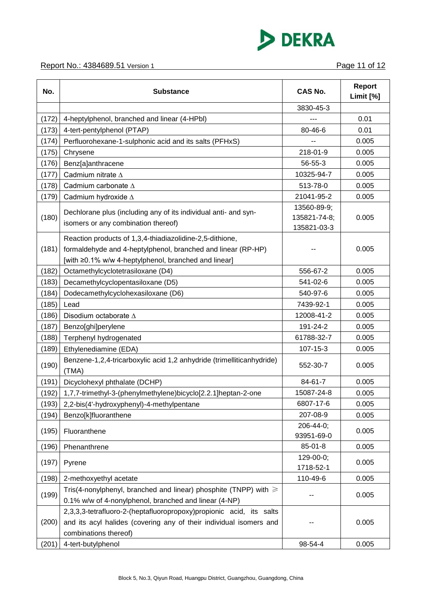

| No.   | <b>Substance</b>                                                                                                                                                                 | <b>CAS No.</b>                             | <b>Report</b><br>Limit [%] |
|-------|----------------------------------------------------------------------------------------------------------------------------------------------------------------------------------|--------------------------------------------|----------------------------|
|       |                                                                                                                                                                                  | 3830-45-3                                  |                            |
| (172) | 4-heptylphenol, branched and linear (4-HPbl)                                                                                                                                     |                                            | 0.01                       |
| (173) | 4-tert-pentylphenol (PTAP)                                                                                                                                                       | 80-46-6                                    | 0.01                       |
| (174) | Perfluorohexane-1-sulphonic acid and its salts (PFHxS)                                                                                                                           |                                            | 0.005                      |
| (175) | Chrysene                                                                                                                                                                         | 218-01-9                                   | 0.005                      |
| (176) | Benz[a]anthracene                                                                                                                                                                | 56-55-3                                    | 0.005                      |
| (177) | Cadmium nitrate $\Delta$                                                                                                                                                         | 10325-94-7                                 | 0.005                      |
| (178) | Cadmium carbonate ∆                                                                                                                                                              | 513-78-0                                   | 0.005                      |
| (179) | Cadmium hydroxide ∆                                                                                                                                                              | 21041-95-2                                 | 0.005                      |
| (180) | Dechlorane plus (including any of its individual anti- and syn-<br>isomers or any combination thereof)                                                                           | 13560-89-9;<br>135821-74-8;<br>135821-03-3 | 0.005                      |
| (181) | Reaction products of 1,3,4-thiadiazolidine-2,5-dithione,<br>formaldehyde and 4-heptylphenol, branched and linear (RP-HP)<br>[with ≥0.1% w/w 4-heptylphenol, branched and linear] |                                            | 0.005                      |
| (182) | Octamethylcyclotetrasiloxane (D4)                                                                                                                                                | 556-67-2                                   | 0.005                      |
| (183) | Decamethylcyclopentasiloxane (D5)                                                                                                                                                | 541-02-6                                   | 0.005                      |
| (184) | Dodecamethylcyclohexasiloxane (D6)                                                                                                                                               | 540-97-6                                   | 0.005                      |
| (185) | Lead                                                                                                                                                                             | 7439-92-1                                  | 0.005                      |
| (186) | Disodium octaborate ∆                                                                                                                                                            | 12008-41-2                                 | 0.005                      |
| (187) | Benzo[ghi]perylene                                                                                                                                                               | 191-24-2                                   | 0.005                      |
| (188) | Terphenyl hydrogenated                                                                                                                                                           | 61788-32-7                                 | 0.005                      |
| (189) | Ethylenediamine (EDA)                                                                                                                                                            | 107-15-3                                   | 0.005                      |
| (190) | Benzene-1,2,4-tricarboxylic acid 1,2 anhydride (trimelliticanhydride)<br>(TMA)                                                                                                   | 552-30-7                                   | 0.005                      |
| (191) | Dicyclohexyl phthalate (DCHP)                                                                                                                                                    | 84-61-7                                    | 0.005                      |
| (192) | 1,7,7-trimethyl-3-(phenylmethylene)bicyclo[2.2.1]heptan-2-one                                                                                                                    | 15087-24-8                                 | 0.005                      |
| (193) | 2,2-bis(4'-hydroxyphenyl)-4-methylpentane                                                                                                                                        | 6807-17-6                                  | 0.005                      |
| (194) | Benzo[k]fluoranthene                                                                                                                                                             | 207-08-9                                   | 0.005                      |
| (195) | Fluoranthene                                                                                                                                                                     | 206-44-0;<br>93951-69-0                    | 0.005                      |
| (196) | Phenanthrene                                                                                                                                                                     | 85-01-8                                    | 0.005                      |
| (197) | Pyrene                                                                                                                                                                           | 129-00-0;<br>1718-52-1                     | 0.005                      |
| (198) | 2-methoxyethyl acetate                                                                                                                                                           | 110-49-6                                   | 0.005                      |
| (199) | Tris(4-nonylphenyl, branched and linear) phosphite (TNPP) with $\geq$<br>0.1% w/w of 4-nonylphenol, branched and linear (4-NP)                                                   |                                            | 0.005                      |
| (200) | 2,3,3,3-tetrafluoro-2-(heptafluoropropoxy)propionic acid, its salts<br>and its acyl halides (covering any of their individual isomers and<br>combinations thereof)               |                                            | 0.005                      |
| (201) | 4-tert-butylphenol                                                                                                                                                               | 98-54-4                                    | 0.005                      |